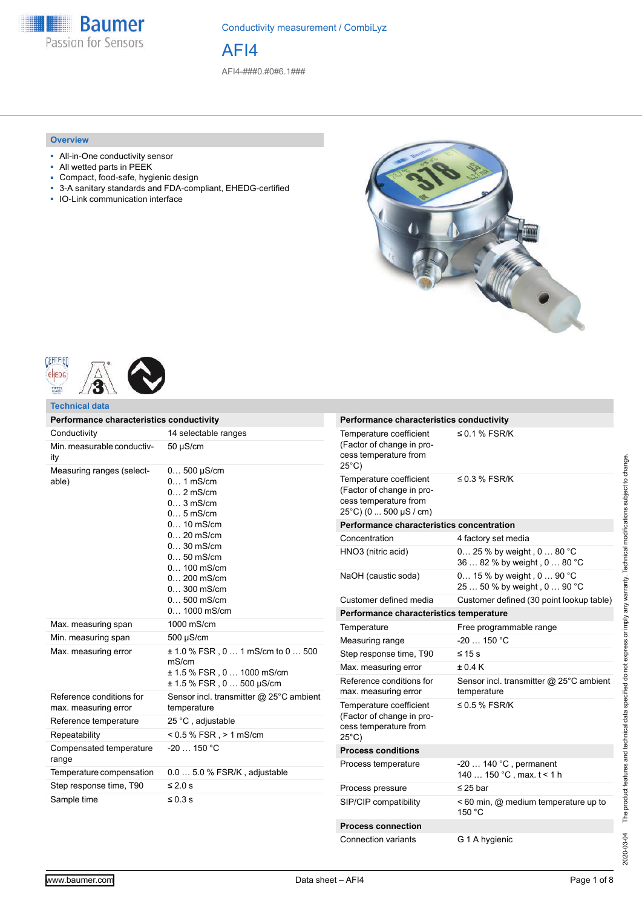

Conductivity measurement / CombiLyz

AFI4

AFI4-###0.#0#6.1###

#### **Overview**

- All-in-One conductivity sensor
- All wetted parts in PEEK
- Compact, food-safe, hygienic design<br>■ 3-A sanitary standards and FDA-com
- 3-A sanitary standards and FDA-compliant, EHEDG-certified
- IO-Link communication interface







**Technical data**

| Performance characteristics conductivity         |                                                                                                                                                                                                                               |  |  |
|--------------------------------------------------|-------------------------------------------------------------------------------------------------------------------------------------------------------------------------------------------------------------------------------|--|--|
| Conductivity                                     | 14 selectable ranges                                                                                                                                                                                                          |  |  |
| Min. measurable conductiv-<br>ity                | $50 \mu S/cm$                                                                                                                                                                                                                 |  |  |
| Measuring ranges (select-<br>able)               | $0 500 \mu S/cm$<br>$0$ 1 mS/cm<br>$0$ 2 mS/cm<br>$03$ mS/cm<br>$05$ mS/cm<br>$0 10$ mS/cm<br>$0 20$ mS/cm<br>$030$ mS/cm<br>$050$ mS/cm<br>$0 100$ mS/cm<br>$0 200$ mS/cm<br>$0300$ mS/cm<br>$0 500$ mS/cm<br>$0 1000$ mS/cm |  |  |
| Max. measuring span                              | 1000 mS/cm                                                                                                                                                                                                                    |  |  |
| Min. measuring span                              | 500 µS/cm                                                                                                                                                                                                                     |  |  |
| Max. measuring error                             | $\pm$ 1.0 % FSR, 0 1 mS/cm to 0 500<br>mS/cm<br>± 1.5 % FSR, 0  1000 mS/cm<br>± 1.5 % FSR , 0  500 µS/cm                                                                                                                      |  |  |
| Reference conditions for<br>max. measuring error | Sensor incl. transmitter @ 25°C ambient<br>temperature                                                                                                                                                                        |  |  |
| Reference temperature                            | 25 °C, adjustable                                                                                                                                                                                                             |  |  |
| Repeatability                                    | $< 0.5$ % FSR, $> 1$ mS/cm                                                                                                                                                                                                    |  |  |
| Compensated temperature<br>range                 | $-20150 °C$                                                                                                                                                                                                                   |  |  |
| Temperature compensation                         | $0.05.0$ % FSR/K, adjustable                                                                                                                                                                                                  |  |  |
| Step response time, T90                          | ≤ 2.0 s                                                                                                                                                                                                                       |  |  |
| Sample time                                      | $\leq 0.3$ s                                                                                                                                                                                                                  |  |  |

| Performance characteristics conductivity                                                                |                                                            |
|---------------------------------------------------------------------------------------------------------|------------------------------------------------------------|
| Temperature coefficient<br>(Factor of change in pro-<br>cess temperature from<br>25°C)                  | $\leq$ 0.1 % FSR/K                                         |
| Temperature coefficient<br>(Factor of change in pro-<br>cess temperature from<br>25°C) (0  500 µS / cm) | $\leq$ 0.3 % FSR/K                                         |
| Performance characteristics concentration                                                               |                                                            |
| Concentration                                                                                           | 4 factory set media                                        |
| HNO3 (nitric acid)                                                                                      | 0 25 % by weight, 0  80 °C<br>36  82 % by weight, 0  80 °C |
| NaOH (caustic soda)                                                                                     | 0 15 % by weight, 0 90 °C<br>25  50 % by weight, 0  90 °C  |
| Customer defined media                                                                                  | Customer defined (30 point lookup table)                   |
| Performance characteristics temperature                                                                 |                                                            |
| Temperature                                                                                             | Free programmable range                                    |
| Measuring range                                                                                         | $-20$ 150 °C                                               |
| Step response time, T90                                                                                 | $\leq 15$ s                                                |
| Max. measuring error                                                                                    | + 0 4 K                                                    |
| Reference conditions for<br>max. measuring error                                                        | Sensor incl. transmitter @ 25°C ambient<br>temperature     |
| Temperature coefficient<br>(Factor of change in pro-<br>cess temperature from<br>25°C)                  | $\leq$ 0.5 % FSR/K                                         |
| <b>Process conditions</b>                                                                               |                                                            |
| Process temperature                                                                                     | $-20140$ °C, permanent<br>140  150 °C, max. t < 1 h        |
| Process pressure                                                                                        | $\leq$ 25 bar                                              |
| SIP/CIP compatibility                                                                                   | < 60 min, @ medium temperature up to<br>150 °C             |
| <b>Process connection</b>                                                                               |                                                            |
| <b>Connection variants</b>                                                                              | G 1 A hygienic                                             |

2020-03-04 The product features and technical data specified do not express or imply any warranty. Technical modifications subject to change.

2020-03-04 The product features and technical data specified do not express or imply any warranty. Technical modifications subject to change.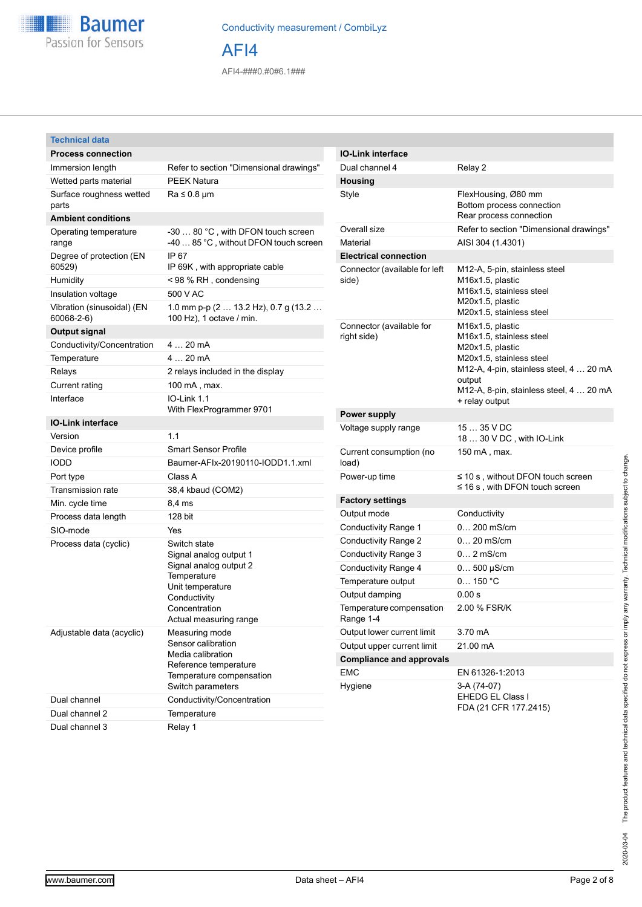

### Conductivity measurement / CombiLyz

AFI4

AFI4-###0.#0#6.1###

#### **Technical data**

| <b>Process connection</b>                |                                                                                                                                                                |
|------------------------------------------|----------------------------------------------------------------------------------------------------------------------------------------------------------------|
| Immersion length                         | Refer to section "Dimensional drawings"                                                                                                                        |
| Wetted parts material                    | <b>PEEK Natura</b>                                                                                                                                             |
| Surface roughness wetted<br>parts        | $Ra \leq 0.8 \mu m$                                                                                                                                            |
| <b>Ambient conditions</b>                |                                                                                                                                                                |
| Operating temperature<br>range           | -30  80 °C, with DFON touch screen<br>-40  85 °C, without DFON touch screen                                                                                    |
| Degree of protection (EN<br>60529)       | IP 67<br>IP 69K, with appropriate cable                                                                                                                        |
| Humidity                                 | < 98 % RH, condensing                                                                                                                                          |
| Insulation voltage                       | 500 V AC                                                                                                                                                       |
| Vibration (sinusoidal) (EN<br>60068-2-6) | 1.0 mm p-p (2  13.2 Hz), 0.7 g (13.2<br>100 Hz), 1 octave / min.                                                                                               |
| <b>Output signal</b>                     |                                                                                                                                                                |
| Conductivity/Concentration               | 4  20 mA                                                                                                                                                       |
| Temperature                              | 420mA                                                                                                                                                          |
| Relays                                   | 2 relays included in the display                                                                                                                               |
| Current rating                           | 100 mA, max.                                                                                                                                                   |
| Interface                                | IO-Link 1.1<br>With FlexProgrammer 9701                                                                                                                        |
| <b>IO-Link interface</b>                 |                                                                                                                                                                |
| Version                                  | 1.1                                                                                                                                                            |
| Device profile                           | <b>Smart Sensor Profile</b>                                                                                                                                    |
| <b>IODD</b>                              | Baumer-AFIx-20190110-IODD1.1.xml                                                                                                                               |
| Port type                                | Class A                                                                                                                                                        |
| <b>Transmission rate</b>                 | 38,4 kbaud (COM2)                                                                                                                                              |
| Min. cycle time                          | 8,4 ms                                                                                                                                                         |
| Process data length                      | 128 bit                                                                                                                                                        |
| SIO-mode                                 | Yes                                                                                                                                                            |
| Process data (cyclic)                    | Switch state<br>Signal analog output 1<br>Signal analog output 2<br>Temperature<br>Unit temperature<br>Conductivity<br>Concentration<br>Actual measuring range |
| Adjustable data (acyclic)                | Measuring mode<br>Sensor calibration<br>Media calibration<br>Reference temperature<br>Temperature compensation<br>Switch parameters                            |
| Dual channel                             | Conductivity/Concentration                                                                                                                                     |
| Dual channel 2                           | Temperature                                                                                                                                                    |
| Dual channel 3                           | Relay 1                                                                                                                                                        |

| <b>IO-Link interface</b>                |                                                                                                                                                                                                                |
|-----------------------------------------|----------------------------------------------------------------------------------------------------------------------------------------------------------------------------------------------------------------|
| Dual channel 4                          | Relay 2                                                                                                                                                                                                        |
| Housing                                 |                                                                                                                                                                                                                |
| Style                                   | FlexHousing, Ø80 mm<br>Bottom process connection<br>Rear process connection                                                                                                                                    |
| Overall size                            | Refer to section "Dimensional drawings"                                                                                                                                                                        |
| Material                                | AISI 304 (1.4301)                                                                                                                                                                                              |
| <b>Electrical connection</b>            |                                                                                                                                                                                                                |
| Connector (available for left<br>side)  | M12-A, 5-pin, stainless steel<br>M16x1.5, plastic<br>M <sub>16</sub> x <sub>1</sub> .5, stainless steel<br>M20x1.5, plastic<br>M20x1.5, stainless steel                                                        |
| Connector (available for<br>right side) | M16x1.5, plastic<br>M16x1.5, stainless steel<br>M20x1.5, plastic<br>M20x1.5, stainless steel<br>M12-A, 4-pin, stainless steel, 4  20 mA<br>output<br>M12-A, 8-pin, stainless steel, 4  20 mA<br>+ relay output |
| Power supply                            |                                                                                                                                                                                                                |
| Voltage supply range                    | 15  35 V DC<br>18  30 V DC, with IO-Link                                                                                                                                                                       |
| Current consumption (no<br>load)        | 150 mA, max.                                                                                                                                                                                                   |
| Power-up time                           | $\leq$ 10 s, without DFON touch screen<br>≤ 16 s , with DFON touch screen                                                                                                                                      |
| <b>Factory settings</b>                 |                                                                                                                                                                                                                |
| Output mode                             | Conductivity                                                                                                                                                                                                   |
| Conductivity Range 1                    | $0 200$ mS/cm                                                                                                                                                                                                  |
| Conductivity Range 2                    | $0 20$ mS/cm                                                                                                                                                                                                   |
| Conductivity Range 3                    | $0$ 2 mS/cm                                                                                                                                                                                                    |
| Conductivity Range 4                    | $0 500 \mu S/cm$                                                                                                                                                                                               |
| Temperature output                      | 0150 °C                                                                                                                                                                                                        |
| Output damping                          | 0.00 s                                                                                                                                                                                                         |
| Temperature compensation<br>Range 1-4   | 2.00 % FSR/K                                                                                                                                                                                                   |
| Output lower current limit              | 3.70 mA                                                                                                                                                                                                        |
| Output upper current limit              | 21.00 mA                                                                                                                                                                                                       |
| <b>Compliance and approvals</b>         |                                                                                                                                                                                                                |
| <b>EMC</b>                              | EN 61326-1:2013                                                                                                                                                                                                |
| Hygiene                                 | 3-A (74-07)<br><b>EHEDG EL Class I</b><br>FDA (21 CFR 177.2415)                                                                                                                                                |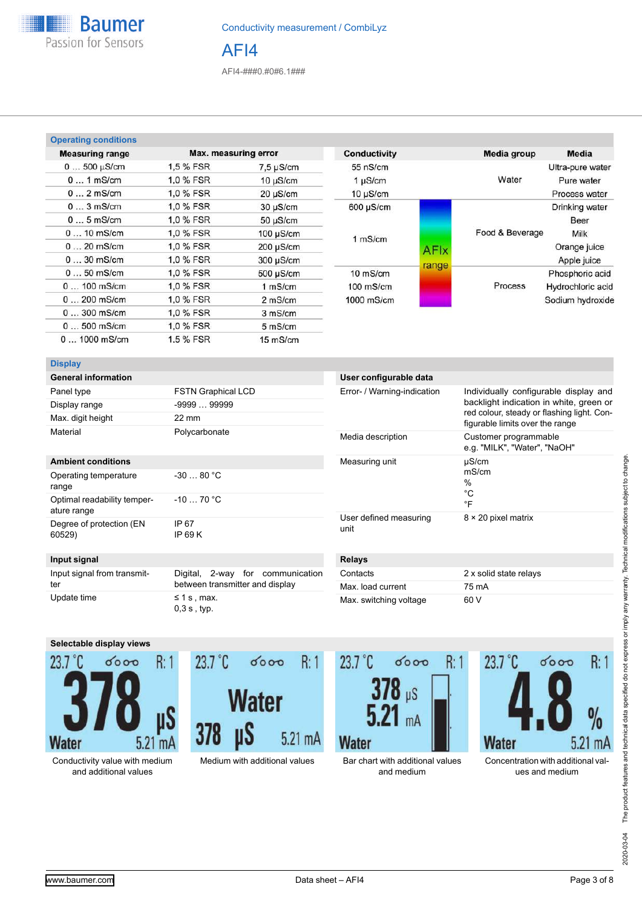

AFI4-###0.#0#6.1###

| <b>Operating conditions</b> |           |                      |                |             |                 |                   |
|-----------------------------|-----------|----------------------|----------------|-------------|-----------------|-------------------|
| <b>Measuring range</b>      |           | Max. measuring error | Conductivity   |             | Media group     | <b>Media</b>      |
| $0500 \mu S/cm$             | 1.5 % FSR | $7.5 \mu$ S/cm       | 55 nS/cm       |             |                 | Ultra-pure water  |
| $01$ mS/cm                  | 1.0 % FSR | $10 \mu$ S/cm        | 1 µS/cm        |             | Water           | Pure water        |
| $02$ mS/cm                  | 1.0 % FSR | $20 \mu S/cm$        | $10 \mu$ S/cm  |             |                 | Process water     |
| $03$ mS/cm                  | 1.0 % FSR | $30 \mu$ S/cm        | $600 \mu S/cm$ |             |                 | Drinking water    |
| $05$ mS/cm                  | 1.0 % FSR | $50 \mu S/cm$        |                |             |                 | Beer              |
| $010$ mS/cm                 | 1.0 % FSR | $100 \mu$ S/cm       |                |             | Food & Beverage | Milk              |
| $020$ mS/cm                 | 1.0 % FSR | $200 \mu S/cm$       | 1 mS/cm        | <b>AFIx</b> |                 | Orange juice      |
| $030$ mS/cm                 | 1.0 % FSR | 300 µS/cm            |                |             |                 | Apple juice       |
| $050$ mS/cm                 | 1.0 % FSR | $500 \mu S/cm$       | $10$ mS/cm     | range       |                 | Phosphoric acid   |
| $0100$ mS/cm                | 1.0 % FSR | 1 mS/cm              | $100$ mS/cm    |             | Process         | Hydrochloric acid |
| $0200$ mS/cm                | 1.0 % FSR | 2 mS/cm              | $1000$ mS/cm   |             |                 | Sodium hydroxide  |
| $0300$ mS/cm                | 1.0 % FSR | 3 mS/cm              |                |             |                 |                   |
| $0500$ mS/cm                | 1.0 % FSR | 5 mS/cm              |                |             |                 |                   |
| $01000$ mS/cm               | 1.5 % FSR | $15 \text{ mS/cm}$   |                |             |                 |                   |

#### **Display**

| <b>General information</b> |                           |
|----------------------------|---------------------------|
| Panel type                 | <b>FSTN Graphical LCD</b> |
| Display range              | $-9999$ 99999             |
| Max. digit height          | $22 \text{ mm}$           |
| Material                   | Polycarbonate             |

#### **Ambient conditions**

| Operating temperature<br>range             | $-3080 °C$       |
|--------------------------------------------|------------------|
| Optimal readability temper-<br>ature range | $-1070 °C$       |
| Degree of protection (EN<br>60529)         | IP 67<br>IP 69 K |

# Error- / Warning-indication lndividually configurable display and

**User configurable data**

|                                | backlight indication in white, green or<br>red colour, steady or flashing light. Con-<br>figurable limits over the range |
|--------------------------------|--------------------------------------------------------------------------------------------------------------------------|
| Media description              | Customer programmable<br>e.g. "MILK", "Water", "NaOH"                                                                    |
| Measuring unit                 | µS/cm<br>mS/cm<br>%<br>°C<br>°F                                                                                          |
| User defined measuring<br>unit | $8 \times 20$ pixel matrix                                                                                               |

#### **Input signal**

| Input signal from transmit- | Digital, 2-way for communication    |  |
|-----------------------------|-------------------------------------|--|
| ter                         | between transmitter and display     |  |
| Update time                 | $\leq$ 1 s . max.<br>$0.3 s$ , typ. |  |

### **Relays**

| Contacts               | 2 x solid state relays |
|------------------------|------------------------|
| Max. load current      | 75 mA                  |
| Max. switching voltage | 60 V                   |



Conductivity value with medium and additional values





Medium with additional values Bar chart with additional values and medium



Concentration with additional values and medium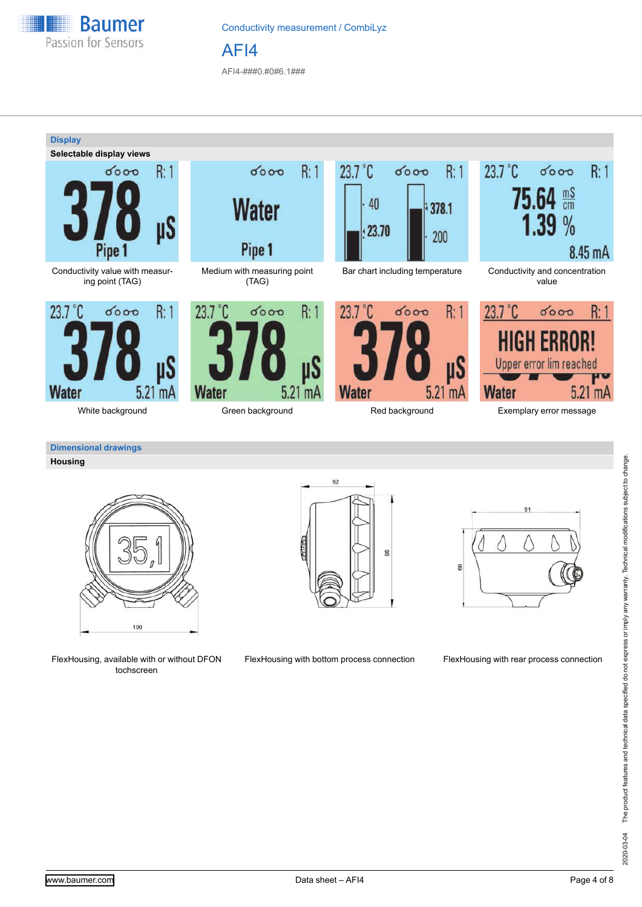

# Conductivity measurement / CombiLyz AFI4

AFI4-###0.#0#6.1###



# **Housing**

100

FlexHousing, available with or without DFON tochscreen





FlexHousing with bottom process connection FlexHousing with rear process connection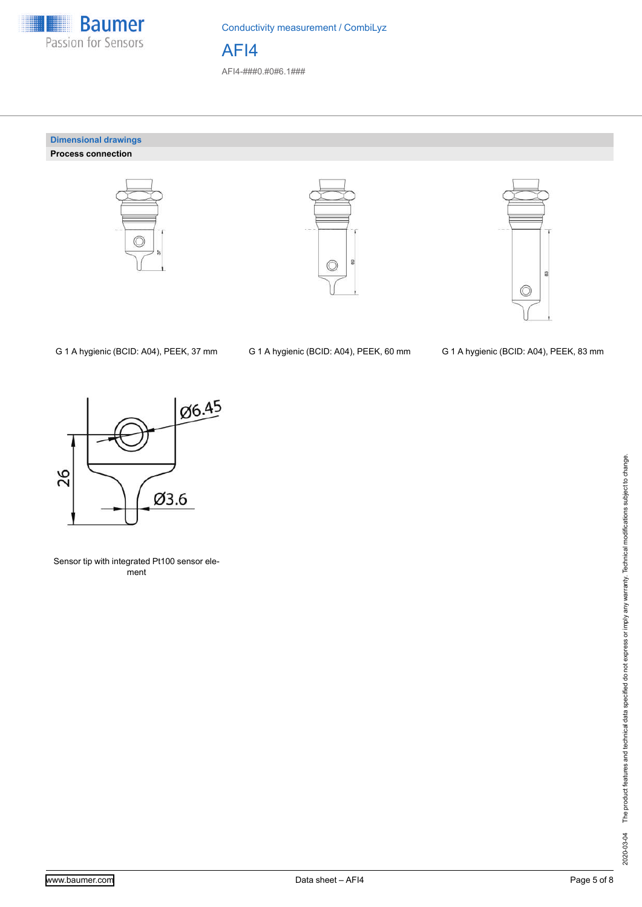

Conductivity measurement / CombiLyz AFI4

AFI4-###0.#0#6.1###

#### **Dimensional drawings Process connection**







G 1 A hygienic (BCID: A04), PEEK, 37 mm G 1 A hygienic (BCID: A04), PEEK, 60 mm G 1 A hygienic (BCID: A04), PEEK, 83 mm



Sensor tip with integrated Pt100 sensor element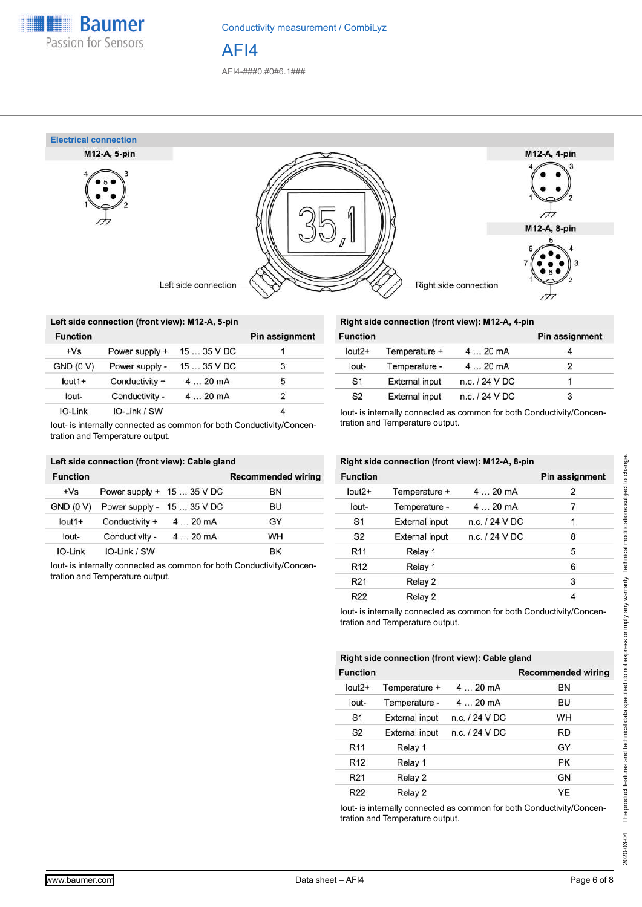

Conductivity measurement / CombiLyz AFI4

AFI4-###0.#0#6.1###



|                 | Left side connection (front view): M12-A, 5-pin |             |                       |
|-----------------|-------------------------------------------------|-------------|-----------------------|
| <b>Function</b> |                                                 |             | <b>Pin assignment</b> |
| $+Vs$           | Power supply +                                  | $1535$ V DC |                       |
| GND (0 V)       | Power supply -                                  | $1535$ V DC | 3                     |
| $I$ out $1+$    | Conductivity +                                  | 420mA       | 5                     |
| $l$ out-        | Conductivity -                                  | 420mA       | $\overline{2}$        |
| IO-Link         | IO-Link / SW                                    |             |                       |

Iout- is internally connected as common for both Conductivity/Concentration and Temperature output.

|                  | Left side connection (front view): Cable gland |                            |                           |
|------------------|------------------------------------------------|----------------------------|---------------------------|
| <b>Function</b>  |                                                |                            | <b>Recommended wiring</b> |
| $+Vs$            | Power supply + 15  35 V DC                     |                            | BN                        |
| <b>GND (0 V)</b> |                                                | Power supply - 15  35 V DC | BU                        |
| $l$ out1+        | Conductivity +                                 | $420 \text{ mA}$           | GY                        |
| lout-            | Conductivity -                                 | 420mA                      | WH                        |
| IO-Link          | IO-Link / SW                                   |                            | ВK                        |

Iout- is internally connected as common for both Conductivity/Concentration and Temperature output.

## **Right side connection (front view): M12-A, 4-pin**

| <b>Function</b> |                       |                | Pin assignment |
|-----------------|-----------------------|----------------|----------------|
| $lout2+$        | Temperature +         | 420mA          |                |
| lout-           | Temperature -         | $420$ mA       |                |
| S <sub>1</sub>  | <b>External input</b> | n.c. / 24 V DC |                |
| S <sub>2</sub>  | <b>External input</b> | n.c. / 24 V DC | 3              |

Iout- is internally connected as common for both Conductivity/Concentration and Temperature output.

|                 | Right side connection (front view): M12-A, 8-pin |                  |                       |
|-----------------|--------------------------------------------------|------------------|-----------------------|
| <b>Function</b> |                                                  |                  | <b>Pin assignment</b> |
| $l$ out $2+$    | Temperature +                                    | 420mA            | 2                     |
| lout-           | Temperature -                                    | 420mA            | 7                     |
| S <sub>1</sub>  | <b>External input</b>                            | $n.c.$ / 24 V DC |                       |
| S <sub>2</sub>  | <b>External input</b>                            | n.c. / 24 V DC   | 8                     |
| R <sub>11</sub> | Relay 1                                          |                  | 5                     |
| R <sub>12</sub> | Relay 1                                          |                  | 6                     |
| R <sub>21</sub> | Relay 2                                          |                  | 3                     |
| R <sub>22</sub> | Relay 2                                          |                  | 4                     |

Iout- is internally connected as common for both Conductivity/Concentration and Temperature output.

|                 | Right side connection (front view): Cable gland |                  |                           |
|-----------------|-------------------------------------------------|------------------|---------------------------|
| <b>Function</b> |                                                 |                  | <b>Recommended wiring</b> |
| $lout2+$        | Temperature +                                   | 420mA            | BN                        |
| lout-           | Temperature -                                   | 420mA            | BU                        |
| S <sub>1</sub>  | <b>External input</b>                           | $n.c.$ / 24 V DC | WH                        |
| S <sub>2</sub>  | <b>External input</b>                           | $n.c.$ / 24 V DC | <b>RD</b>                 |
| R <sub>11</sub> | Relay 1                                         |                  | GY                        |
| R <sub>12</sub> | Relay 1                                         |                  | <b>PK</b>                 |
| R <sub>21</sub> | Relay 2                                         |                  | <b>GN</b>                 |
| R <sub>22</sub> | Relay 2                                         |                  | <b>YE</b>                 |

Iout- is internally connected as common for both Conductivity/Concentration and Temperature output.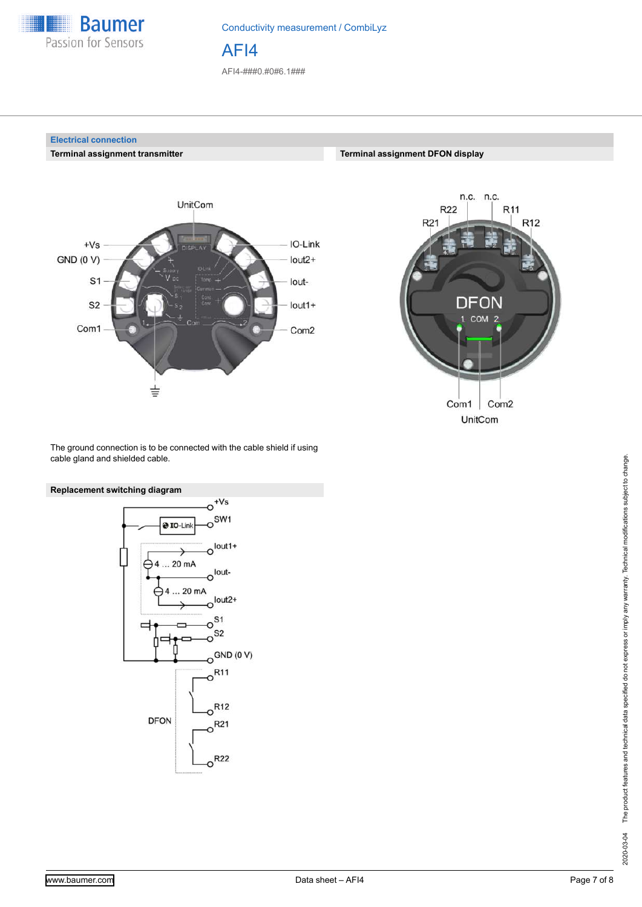

**Electrical connection**

**Terminal assignment transmitter**

Conductivity measurement / CombiLyz

AFI4

AFI4-###0.#0#6.1###





**Terminal assignment DFON display**

The ground connection is to be connected with the cable shield if using cable gland and shielded cable.